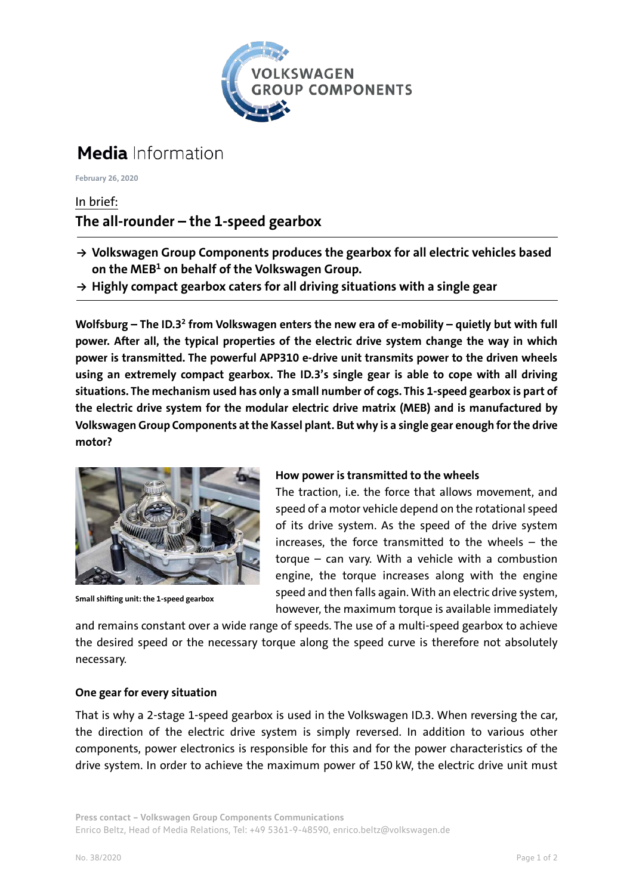

# **Media** Information

**February 26, 2020**

### In brief: **The all-rounder – the 1-speed gearbox**

- **→ Volkswagen Group Components produces the gearbox for all electric vehicles based on the MEB1 on behalf of the Volkswagen Group.**
- **→ Highly compact gearbox caters for all driving situations with a single gear**

**Wolfsburg – The ID.32 from Volkswagen enters the new era of e-mobility – quietly but with full power. After all, the typical properties of the electric drive system change the way in which power is transmitted. The powerful APP310 e-drive unit transmits power to the driven wheels using an extremely compact gearbox. The ID.3's single gear is able to cope with all driving situations. The mechanism used has only a small number of cogs. This 1-speed gearbox is part of the electric drive system for the modular electric drive matrix (MEB) and is manufactured by Volkswagen Group Components at the Kassel plant. But why is a single gear enough for the drive motor?**



**Small shifting unit: the 1-speed gearbox**

### **How power is transmitted to the wheels**

The traction, i.e. the force that allows movement, and speed of a motor vehicle depend on the rotational speed of its drive system. As the speed of the drive system increases, the force transmitted to the wheels – the torque – can vary. With a vehicle with a combustion engine, the torque increases along with the engine speed and then falls again. With an electric drive system, however, the maximum torque is available immediately

and remains constant over a wide range of speeds. The use of a multi-speed gearbox to achieve the desired speed or the necessary torque along the speed curve is therefore not absolutely necessary.

### **One gear for every situation**

That is why a 2-stage 1-speed gearbox is used in the Volkswagen ID.3. When reversing the car, the direction of the electric drive system is simply reversed. In addition to various other components, power electronics is responsible for this and for the power characteristics of the drive system. In order to achieve the maximum power of 150 kW, the electric drive unit must